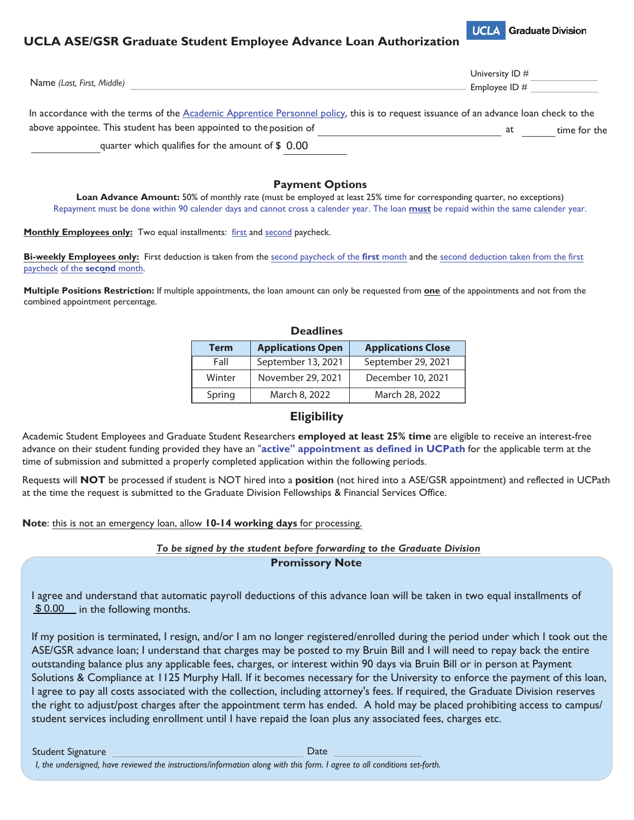## **UCLA ASE/GSR Graduate Student Employee Advance Loan Authorization**



|                                                                                                                                       | University ID # |              |
|---------------------------------------------------------------------------------------------------------------------------------------|-----------------|--------------|
| Name (Last, First, Middle)                                                                                                            | Employee ID $#$ |              |
| In accordance with the terms of the Academic Apprentice Personnel policy, this is to request issuance of an advance loan check to the |                 |              |
| above appointee. This student has been appointed to the position of                                                                   | at              | time for the |
| quarter which qualifies for the amount of $$0.00$                                                                                     |                 |              |

## **Payment Options**

**Loan Advance Amount:** 50% of monthly rate (must be employed at least 25% time for corresponding quarter, no exceptions) Repayment must be done within 90 calender days and cannot cross a calender year. The loan **must** be repaid within the same calender year.

**Monthly Employees only:** Two equal installments: first and second paycheck.

**Bi-weekly Employees only:** First deduction is taken from the second paycheck of the **first** month and the second deduction taken from the first paycheck of the **second** month.

**Multiple Positions Restriction:** If multiple appointments, the loan amount can only be requested from **one** of the appointments and not from the combined appointment percentage.

|             | <b>Deadlines</b>         |                           |
|-------------|--------------------------|---------------------------|
| <b>Term</b> | <b>Applications Open</b> | <b>Applications Close</b> |
| Fall        | September 13, 2021       | September 29, 2021        |
| Winter      | November 29, 2021        | December 10, 2021         |
| Spring      | March 8, 2022            | March 28, 2022            |

## **Eligibility**

Academic Student Employees and Graduate Student Researchers **employed at least 25% time** are eligible to receive an interest-free advance on their student funding provided they have an "**active" appointment as defined in UCPath** for the applicable term at the time of submission and submitted a properly completed application within the following periods.

Requests will **NOT** be processed if student is NOT hired into a **position** (not hired into a ASE/GSR appointment) and reflected in UCPath at the time the request is submitted to the Graduate Division Fellowships & Financial Services Office.

### **Note**: this is not an emergency loan, allow **10-14 working days** for processing.

### *To be signed by the student before forwarding to the Graduate Division* **Promissory Note**

I agree and understand that automatic payroll deductions of this advance loan will be taken in two equal installments of  $$ 0.00$  in the following months.

If my position is terminated, I resign, and/or I am no longer registered/enrolled during the period under which I took out the ASE/GSR advance loan; I understand that charges may be posted to my Bruin Bill and I will need to repay back the entire outstanding balance plus any applicable fees, charges, or interest within 90 days via Bruin Bill or in person at Payment Solutions & Compliance at 1125 Murphy Hall. If it becomes necessary for the University to enforce the payment of this loan, I agree to pay all costs associated with the collection, including attorney's fees. If required, the Graduate Division reserves the right to adjust/post charges after the appointment term has ended. A hold may be placed prohibiting access to campus/ student services including enrollment until I have repaid the loan plus any associated fees, charges etc.